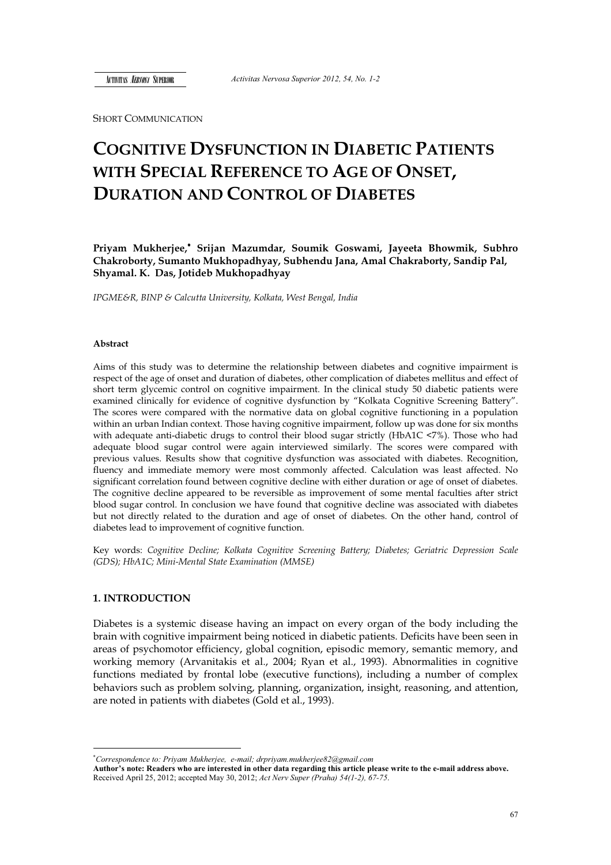SHORT COMMUNICATION

# **COGNITIVE DYSFUNCTION IN DIABETIC PATIENTS WITH SPECIAL REFERENCE TO AGE OF ONSET, DURATION AND CONTROL OF DIABETES**

**Priyam Mukherjee,**-  **Srijan Mazumdar, Soumik Goswami, Jayeeta Bhowmik, Subhro Chakroborty, Sumanto Mukhopadhyay, Subhendu Jana, Amal Chakraborty, Sandip Pal, Shyamal. K. Das, Jotideb Mukhopadhyay**

*IPGME&R, BINP & Calcutta University, Kolkata, West Bengal, India* 

#### **Abstract**

Aims of this study was to determine the relationship between diabetes and cognitive impairment is respect of the age of onset and duration of diabetes, other complication of diabetes mellitus and effect of short term glycemic control on cognitive impairment. In the clinical study 50 diabetic patients were examined clinically for evidence of cognitive dysfunction by "Kolkata Cognitive Screening Battery". The scores were compared with the normative data on global cognitive functioning in a population within an urban Indian context. Those having cognitive impairment, follow up was done for six months with adequate anti-diabetic drugs to control their blood sugar strictly (HbA1C <7%). Those who had adequate blood sugar control were again interviewed similarly. The scores were compared with previous values. Results show that cognitive dysfunction was associated with diabetes. Recognition, fluency and immediate memory were most commonly affected. Calculation was least affected. No significant correlation found between cognitive decline with either duration or age of onset of diabetes. The cognitive decline appeared to be reversible as improvement of some mental faculties after strict blood sugar control. In conclusion we have found that cognitive decline was associated with diabetes but not directly related to the duration and age of onset of diabetes. On the other hand, control of diabetes lead to improvement of cognitive function.

Key words: *Cognitive Decline; Kolkata Cognitive Screening Battery; Diabetes; Geriatric Depression Scale (GDS); HbA1C; Mini-Mental State Examination (MMSE)*

# **1. INTRODUCTION**

 $\overline{a}$ 

Diabetes is a systemic disease having an impact on every organ of the body including the brain with cognitive impairment being noticed in diabetic patients. Deficits have been seen in areas of psychomotor efficiency, global cognition, episodic memory, semantic memory, and working memory (Arvanitakis et al., 2004; Ryan et al., 1993). Abnormalities in cognitive functions mediated by frontal lobe (executive functions), including a number of complex behaviors such as problem solving, planning, organization, insight, reasoning, and attention, are noted in patients with diabetes (Gold et al., 1993).

<sup>-</sup> *Correspondence to: Priyam Mukherjee, e-mail; drpriyam.mukherjee82@gmail.com* 

**Author's note: Readers who are interested in other data regarding this article please write to the e-mail address above.**  Received April 25, 2012; accepted May 30, 2012; *Act Nerv Super (Praha) 54(1-2), 67-75*.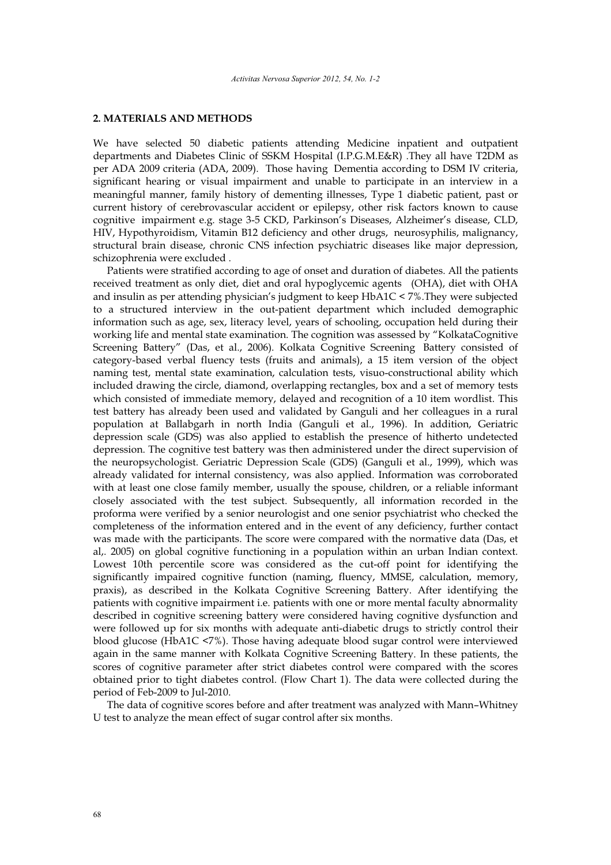### **2. MATERIALS AND METHODS**

We have selected 50 diabetic patients attending Medicine inpatient and outpatient departments and Diabetes Clinic of SSKM Hospital (I.P.G.M.E&R) .They all have T2DM as per ADA 2009 criteria (ADA, 2009). Those having Dementia according to DSM IV criteria, significant hearing or visual impairment and unable to participate in an interview in a meaningful manner, family history of dementing illnesses, Type 1 diabetic patient, past or current history of cerebrovascular accident or epilepsy, other risk factors known to cause cognitive impairment e.g. stage 3-5 CKD, Parkinson's Diseases, Alzheimer's disease, CLD, HIV, Hypothyroidism, Vitamin B12 deficiency and other drugs, neurosyphilis, malignancy, structural brain disease, chronic CNS infection psychiatric diseases like major depression, schizophrenia were excluded .

Patients were stratified according to age of onset and duration of diabetes. All the patients received treatment as only diet, diet and oral hypoglycemic agents (OHA), diet with OHA and insulin as per attending physician's judgment to keep HbA1C < 7%.They were subjected to a structured interview in the out-patient department which included demographic information such as age, sex, literacy level, years of schooling, occupation held during their working life and mental state examination. The cognition was assessed by "KolkataCognitive Screening Battery" (Das, et al., 2006). Kolkata Cognitive Screening Battery consisted of category-based verbal fluency tests (fruits and animals), a 15 item version of the object naming test, mental state examination, calculation tests, visuo-constructional ability which included drawing the circle, diamond, overlapping rectangles, box and a set of memory tests which consisted of immediate memory, delayed and recognition of a 10 item wordlist. This test battery has already been used and validated by Ganguli and her colleagues in a rural population at Ballabgarh in north India (Ganguli et al., 1996). In addition, Geriatric depression scale (GDS) was also applied to establish the presence of hitherto undetected depression. The cognitive test battery was then administered under the direct supervision of the neuropsychologist. Geriatric Depression Scale (GDS) (Ganguli et al., 1999), which was already validated for internal consistency, was also applied. Information was corroborated with at least one close family member, usually the spouse, children, or a reliable informant closely associated with the test subject. Subsequently, all information recorded in the proforma were verified by a senior neurologist and one senior psychiatrist who checked the completeness of the information entered and in the event of any deficiency, further contact was made with the participants. The score were compared with the normative data (Das, et al,. 2005) on global cognitive functioning in a population within an urban Indian context. Lowest 10th percentile score was considered as the cut-off point for identifying the significantly impaired cognitive function (naming, fluency, MMSE, calculation, memory, praxis), as described in the Kolkata Cognitive Screening Battery. After identifying the patients with cognitive impairment i.e. patients with one or more mental faculty abnormality described in cognitive screening battery were considered having cognitive dysfunction and were followed up for six months with adequate anti-diabetic drugs to strictly control their blood glucose (HbA1C <7%). Those having adequate blood sugar control were interviewed again in the same manner with Kolkata Cognitive Screening Battery. In these patients, the scores of cognitive parameter after strict diabetes control were compared with the scores obtained prior to tight diabetes control. (Flow Chart 1). The data were collected during the period of Feb-2009 to Jul-2010.

The data of cognitive scores before and after treatment was analyzed with Mann–Whitney U test to analyze the mean effect of sugar control after six months.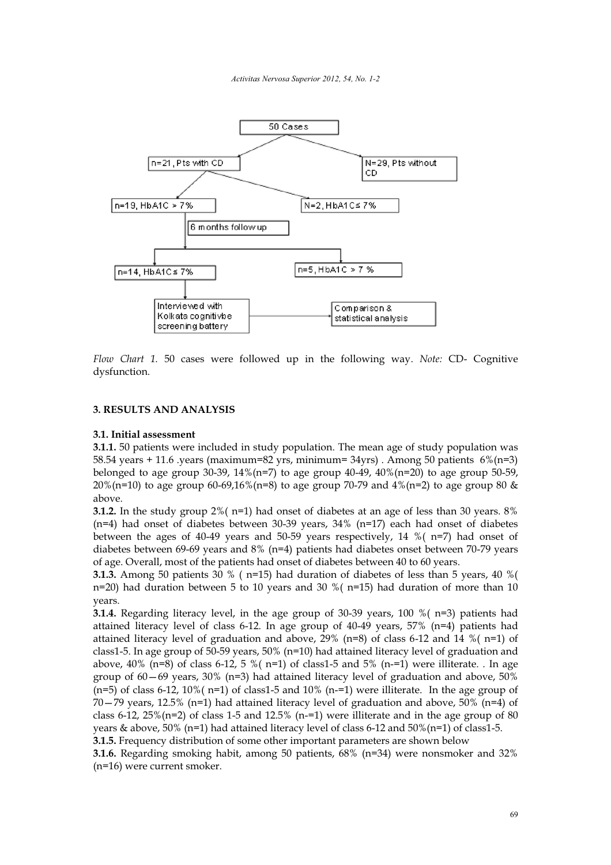

*Flow Chart 1.* 50 cases were followed up in the following way. *Note:* CD- Cognitive dysfunction.

# **3. RESULTS AND ANALYSIS**

#### **3.1. Initial assessment**

**3.1.1.** 50 patients were included in study population. The mean age of study population was 58.54 years + 11.6 .years (maximum=82 yrs, minimum=34yrs) . Among 50 patients  $6\%$  (n=3) belonged to age group 30-39,  $14\%$  (n=7) to age group 40-49,  $40\%$  (n=20) to age group 50-59, 20%(n=10) to age group 60-69,16%(n=8) to age group 70-79 and  $4\frac{1}{2}$  (n=2) to age group 80 & above.

**3.1.2.** In the study group 2%( n=1) had onset of diabetes at an age of less than 30 years. 8%  $(n=4)$  had onset of diabetes between 30-39 years, 34%  $(n=17)$  each had onset of diabetes between the ages of 40-49 years and 50-59 years respectively, 14 %( n=7) had onset of diabetes between 69-69 years and 8% (n=4) patients had diabetes onset between 70-79 years of age. Overall, most of the patients had onset of diabetes between 40 to 60 years.

**3.1.3.** Among 50 patients 30 % ( $n=15$ ) had duration of diabetes of less than 5 years, 40 % ( n=20) had duration between 5 to 10 years and 30 %  $(n=15)$  had duration of more than 10 years.

**3.1.4.** Regarding literacy level, in the age group of  $30-39$  years,  $100\%$  ( $n=3$ ) patients had attained literacy level of class 6-12. In age group of 40-49 years, 57% (n=4) patients had attained literacy level of graduation and above,  $29\%$  (n=8) of class 6-12 and 14 %(n=1) of class1-5. In age group of 50-59 years, 50% (n=10) had attained literacy level of graduation and above,  $40\%$  (n=8) of class 6-12, 5 %( n=1) of class1-5 and 5% (n-=1) were illiterate. . In age group of  $60-69$  years,  $30\%$  (n=3) had attained literacy level of graduation and above,  $50\%$  $(n=5)$  of class 6-12, 10% ( $n=1$ ) of class1-5 and 10% ( $n=1$ ) were illiterate. In the age group of  $70-79$  years, 12.5% (n=1) had attained literacy level of graduation and above,  $50\%$  (n=4) of class 6-12,  $25\%$ (n=2) of class 1-5 and 12.5% (n=1) were illiterate and in the age group of 80 years & above,  $50\%$  (n=1) had attained literacy level of class 6-12 and  $50\%$  (n=1) of class1-5.

**3.1.5.** Frequency distribution of some other important parameters are shown below

**3.1.6.** Regarding smoking habit, among 50 patients, 68% (n=34) were nonsmoker and 32% (n=16) were current smoker.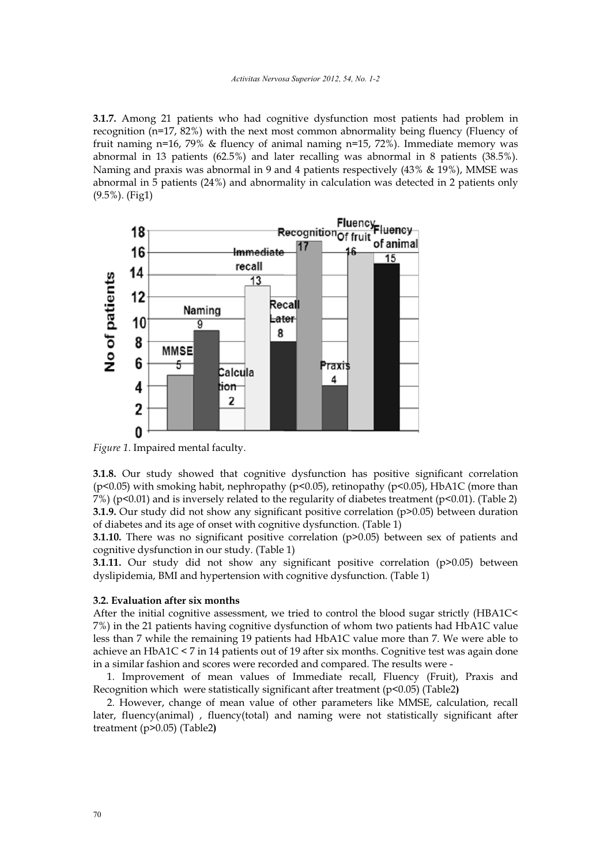**3.1.7.** Among 21 patients who had cognitive dysfunction most patients had problem in recognition (n=17, 82%) with the next most common abnormality being fluency (Fluency of fruit naming n=16, 79% & fluency of animal naming n=15, 72%). Immediate memory was abnormal in 13 patients (62.5%) and later recalling was abnormal in 8 patients (38.5%). Naming and praxis was abnormal in 9 and 4 patients respectively (43% & 19%), MMSE was abnormal in 5 patients (24%) and abnormality in calculation was detected in 2 patients only (9.5%). (Fig1)



*Figure 1*. Impaired mental faculty.

**3.1.8.** Our study showed that cognitive dysfunction has positive significant correlation (p<0.05) with smoking habit, nephropathy (p<0.05), retinopathy (p<0.05), HbA1C (more than 7%) (p<0.01) and is inversely related to the regularity of diabetes treatment (p<0.01). (Table 2) **3.1.9.** Our study did not show any significant positive correlation (p>0.05) between duration of diabetes and its age of onset with cognitive dysfunction. (Table 1)

**3.1.10.** There was no significant positive correlation (p>0.05) between sex of patients and cognitive dysfunction in our study. (Table 1)

**3.1.11.** Our study did not show any significant positive correlation (p>0.05) between dyslipidemia, BMI and hypertension with cognitive dysfunction. (Table 1)

## **3.2. Evaluation after six months**

After the initial cognitive assessment, we tried to control the blood sugar strictly (HBA1C< 7%) in the 21 patients having cognitive dysfunction of whom two patients had HbA1C value less than 7 while the remaining 19 patients had HbA1C value more than 7. We were able to achieve an HbA1C < 7 in 14 patients out of 19 after six months. Cognitive test was again done in a similar fashion and scores were recorded and compared. The results were -

1. Improvement of mean values of Immediate recall, Fluency (Fruit), Praxis and Recognition which were statistically significant after treatment (p<0.05) (Table2**)**

2. However, change of mean value of other parameters like MMSE, calculation, recall later, fluency(animal) , fluency(total) and naming were not statistically significant after treatment (p>0.05) (Table2**)**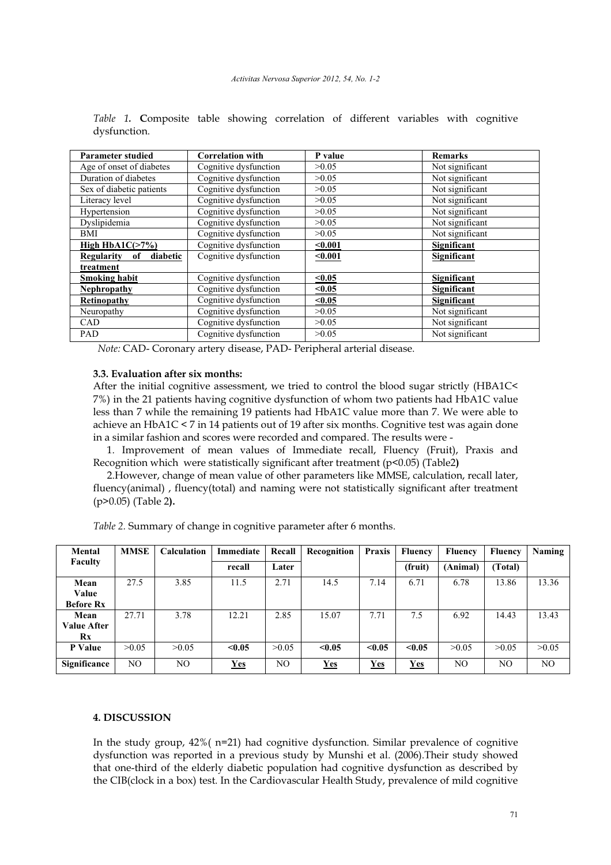| <b>Parameter studied</b>     | <b>Correlation with</b> | P value | <b>Remarks</b>     |  |
|------------------------------|-------------------------|---------|--------------------|--|
| Age of onset of diabetes     | Cognitive dysfunction   | >0.05   | Not significant    |  |
| Duration of diabetes         | Cognitive dysfunction   | >0.05   | Not significant    |  |
| Sex of diabetic patients     | Cognitive dysfunction   | >0.05   | Not significant    |  |
| Literacy level               | Cognitive dysfunction   | >0.05   | Not significant    |  |
| Hypertension                 | Cognitive dysfunction   | >0.05   | Not significant    |  |
| Dyslipidemia                 | Cognitive dysfunction   | >0.05   | Not significant    |  |
| <b>BMI</b>                   | Cognitive dysfunction   | >0.05   | Not significant    |  |
| High HbA1 $C(>7%)$           | Cognitive dysfunction   | $0.001$ | Significant        |  |
| diabetic<br>Regularity<br>0f | Cognitive dysfunction   | $0.001$ | Significant        |  |
| treatment                    |                         |         |                    |  |
| <b>Smoking habit</b>         | Cognitive dysfunction   | $0.05$  | Significant        |  |
| <b>Nephropathy</b>           | Cognitive dysfunction   | $0.05$  | Significant        |  |
| Retinopathy                  | Cognitive dysfunction   | < 0.05  | <b>Significant</b> |  |
| Neuropathy                   | Cognitive dysfunction   | >0.05   | Not significant    |  |
| <b>CAD</b>                   | Cognitive dysfunction   | >0.05   | Not significant    |  |
| <b>PAD</b>                   | Cognitive dysfunction   | >0.05   | Not significant    |  |

*Table 1.* **C**omposite table showing correlation of different variables with cognitive dysfunction.

*Note:* CAD- Coronary artery disease, PAD- Peripheral arterial disease.

## **3.3. Evaluation after six months:**

After the initial cognitive assessment, we tried to control the blood sugar strictly (HBA1C< 7%) in the 21 patients having cognitive dysfunction of whom two patients had HbA1C value less than 7 while the remaining 19 patients had HbA1C value more than 7. We were able to achieve an HbA1C < 7 in 14 patients out of 19 after six months. Cognitive test was again done in a similar fashion and scores were recorded and compared. The results were -

1. Improvement of mean values of Immediate recall, Fluency (Fruit), Praxis and Recognition which were statistically significant after treatment (p<0.05) (Table2**)**

2.However, change of mean value of other parameters like MMSE, calculation, recall later, fluency(animal) , fluency(total) and naming were not statistically significant after treatment (p>0.05) (Table 2**).** 

| Mental                  | <b>MMSE</b> | <b>Calculation</b> | Immediate | Recall | Recognition | Praxis | <b>Fluency</b> | <b>Fluency</b> | <b>Fluency</b> | <b>Naming</b> |
|-------------------------|-------------|--------------------|-----------|--------|-------------|--------|----------------|----------------|----------------|---------------|
| <b>Faculty</b>          |             |                    | recall    | Later  |             |        | (fruit)        | (Animal)       | (Total)        |               |
| Mean                    | 27.5        | 3.85               | 11.5      | 2.71   | 14.5        | 7.14   | 6.71           | 6.78           | 13.86          | 13.36         |
| Value                   |             |                    |           |        |             |        |                |                |                |               |
| <b>Before Rx</b>        |             |                    |           |        |             |        |                |                |                |               |
| Mean                    | 27.71       | 3.78               | 12.21     | 2.85   | 15.07       | 7.71   | 7.5            | 6.92           | 14.43          | 13.43         |
| <b>Value After</b>      |             |                    |           |        |             |        |                |                |                |               |
| $\mathbf{R} \mathbf{x}$ |             |                    |           |        |             |        |                |                |                |               |
| P Value                 | >0.05       | >0.05              | < 0.05    | >0.05  | < 0.05      | < 0.05 | < 0.05         | >0.05          | >0.05          | >0.05         |
| Significance            | NO.         | NO.                | $Yes$     | NO.    | Yes         | Yes    | <b>Yes</b>     | NO             | NO             | NO.           |

*Table 2.* Summary of change in cognitive parameter after 6 months.

# **4. DISCUSSION**

In the study group, 42%( n=21) had cognitive dysfunction. Similar prevalence of cognitive dysfunction was reported in a previous study by Munshi et al. (2006).Their study showed that one-third of the elderly diabetic population had cognitive dysfunction as described by the CIB(clock in a box) test. In the Cardiovascular Health Study, prevalence of mild cognitive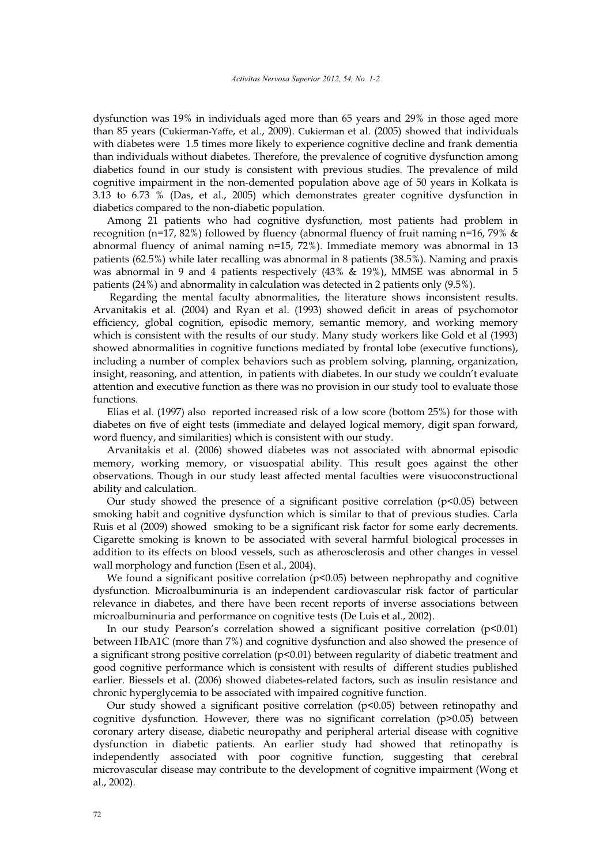dysfunction was 19% in individuals aged more than 65 years and 29% in those aged more than 85 years (Cukierman-Yaffe, et al., 2009). Cukierman et al. (2005) showed that individuals with diabetes were 1.5 times more likely to experience cognitive decline and frank dementia than individuals without diabetes. Therefore, the prevalence of cognitive dysfunction among diabetics found in our study is consistent with previous studies. The prevalence of mild cognitive impairment in the non-demented population above age of 50 years in Kolkata is 3.13 to 6.73 % (Das, et al., 2005) which demonstrates greater cognitive dysfunction in diabetics compared to the non-diabetic population.

Among 21 patients who had cognitive dysfunction, most patients had problem in recognition (n=17, 82%) followed by fluency (abnormal fluency of fruit naming n=16, 79% & abnormal fluency of animal naming n=15, 72%). Immediate memory was abnormal in 13 patients (62.5%) while later recalling was abnormal in 8 patients (38.5%). Naming and praxis was abnormal in 9 and 4 patients respectively (43% & 19%), MMSE was abnormal in 5 patients (24%) and abnormality in calculation was detected in 2 patients only (9.5%).

 Regarding the mental faculty abnormalities, the literature shows inconsistent results. Arvanitakis et al. (2004) and Ryan et al. (1993) showed deficit in areas of psychomotor efficiency, global cognition, episodic memory, semantic memory, and working memory which is consistent with the results of our study. Many study workers like Gold et al (1993) showed abnormalities in cognitive functions mediated by frontal lobe (executive functions), including a number of complex behaviors such as problem solving, planning, organization, insight, reasoning, and attention, in patients with diabetes. In our study we couldn't evaluate attention and executive function as there was no provision in our study tool to evaluate those functions.

Elias et al. (1997) also reported increased risk of a low score (bottom 25%) for those with diabetes on five of eight tests (immediate and delayed logical memory, digit span forward, word fluency, and similarities) which is consistent with our study.

Arvanitakis et al. (2006) showed diabetes was not associated with abnormal episodic memory, working memory, or visuospatial ability. This result goes against the other observations. Though in our study least affected mental faculties were visuoconstructional ability and calculation.

Our study showed the presence of a significant positive correlation  $(p<0.05)$  between smoking habit and cognitive dysfunction which is similar to that of previous studies. Carla Ruis et al (2009) showed smoking to be a significant risk factor for some early decrements. Cigarette smoking is known to be associated with several harmful biological processes in addition to its effects on blood vessels, such as atherosclerosis and other changes in vessel wall morphology and function (Esen et al., 2004).

We found a significant positive correlation (p<0.05) between nephropathy and cognitive dysfunction. Microalbuminuria is an independent cardiovascular risk factor of particular relevance in diabetes, and there have been recent reports of inverse associations between microalbuminuria and performance on cognitive tests (De Luis et al., 2002).

In our study Pearson's correlation showed a significant positive correlation (p<0.01) between HbA1C (more than 7%) and cognitive dysfunction and also showed the presence of a significant strong positive correlation ( $p<0.01$ ) between regularity of diabetic treatment and good cognitive performance which is consistent with results of different studies published earlier. Biessels et al. (2006) showed diabetes-related factors, such as insulin resistance and chronic hyperglycemia to be associated with impaired cognitive function.

Our study showed a significant positive correlation  $(p<0.05)$  between retinopathy and cognitive dysfunction. However, there was no significant correlation (p>0.05) between coronary artery disease, diabetic neuropathy and peripheral arterial disease with cognitive dysfunction in diabetic patients. An earlier study had showed that retinopathy is independently associated with poor cognitive function, suggesting that cerebral microvascular disease may contribute to the development of cognitive impairment (Wong et al., 2002).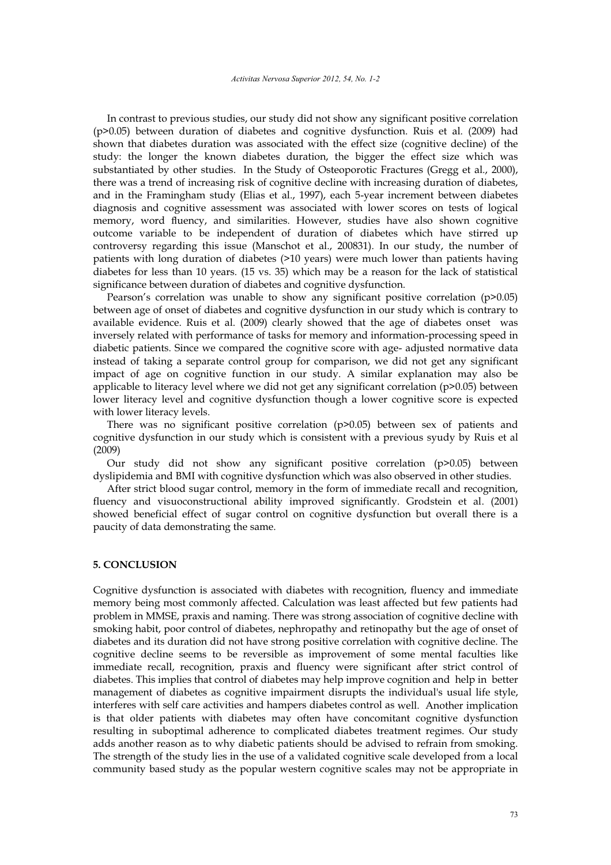In contrast to previous studies, our study did not show any significant positive correlation (p>0.05) between duration of diabetes and cognitive dysfunction. Ruis et al. (2009) had shown that diabetes duration was associated with the effect size (cognitive decline) of the study: the longer the known diabetes duration, the bigger the effect size which was substantiated by other studies. In the Study of Osteoporotic Fractures (Gregg et al., 2000), there was a trend of increasing risk of cognitive decline with increasing duration of diabetes, and in the Framingham study (Elias et al., 1997), each 5-year increment between diabetes diagnosis and cognitive assessment was associated with lower scores on tests of logical memory, word fluency, and similarities. However, studies have also shown cognitive outcome variable to be independent of duration of diabetes which have stirred up controversy regarding this issue (Manschot et al., 200831). In our study, the number of patients with long duration of diabetes (>10 years) were much lower than patients having diabetes for less than 10 years. (15 vs. 35) which may be a reason for the lack of statistical significance between duration of diabetes and cognitive dysfunction.

Pearson's correlation was unable to show any significant positive correlation (p>0.05) between age of onset of diabetes and cognitive dysfunction in our study which is contrary to available evidence. Ruis et al. (2009) clearly showed that the age of diabetes onset was inversely related with performance of tasks for memory and information-processing speed in diabetic patients. Since we compared the cognitive score with age- adjusted normative data instead of taking a separate control group for comparison, we did not get any significant impact of age on cognitive function in our study. A similar explanation may also be applicable to literacy level where we did not get any significant correlation (p>0.05) between lower literacy level and cognitive dysfunction though a lower cognitive score is expected with lower literacy levels.

There was no significant positive correlation  $(p>0.05)$  between sex of patients and cognitive dysfunction in our study which is consistent with a previous syudy by Ruis et al (2009)

Our study did not show any significant positive correlation  $(p>0.05)$  between dyslipidemia and BMI with cognitive dysfunction which was also observed in other studies.

After strict blood sugar control, memory in the form of immediate recall and recognition, fluency and visuoconstructional ability improved significantly. Grodstein et al. (2001) showed beneficial effect of sugar control on cognitive dysfunction but overall there is a paucity of data demonstrating the same.

#### **5. CONCLUSION**

Cognitive dysfunction is associated with diabetes with recognition, fluency and immediate memory being most commonly affected. Calculation was least affected but few patients had problem in MMSE, praxis and naming. There was strong association of cognitive decline with smoking habit, poor control of diabetes, nephropathy and retinopathy but the age of onset of diabetes and its duration did not have strong positive correlation with cognitive decline. The cognitive decline seems to be reversible as improvement of some mental faculties like immediate recall, recognition, praxis and fluency were significant after strict control of diabetes. This implies that control of diabetes may help improve cognition and help in better management of diabetes as cognitive impairment disrupts the individual's usual life style, interferes with self care activities and hampers diabetes control as well. Another implication is that older patients with diabetes may often have concomitant cognitive dysfunction resulting in suboptimal adherence to complicated diabetes treatment regimes. Our study adds another reason as to why diabetic patients should be advised to refrain from smoking. The strength of the study lies in the use of a validated cognitive scale developed from a local community based study as the popular western cognitive scales may not be appropriate in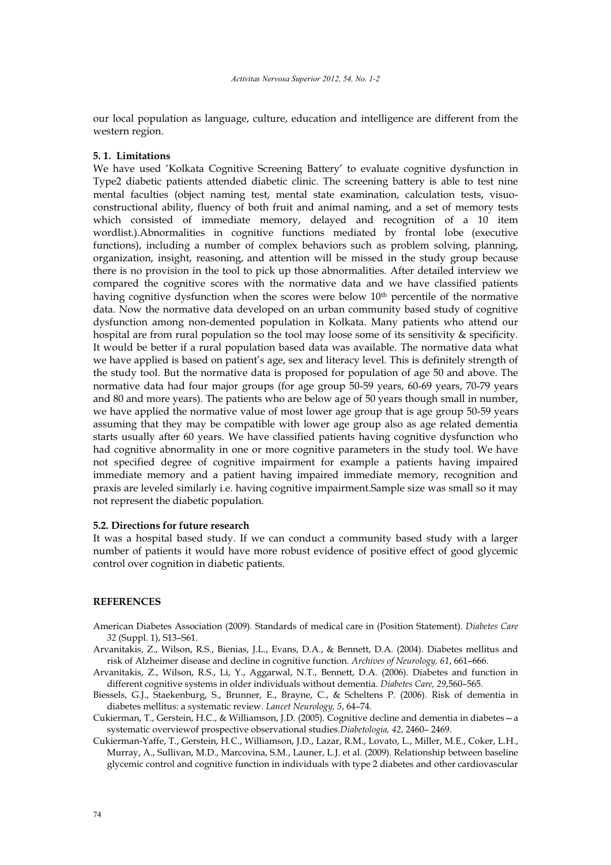our local population as language, culture, education and intelligence are different from the western region.

#### **5. 1. Limitations**

We have used 'Kolkata Cognitive Screening Battery' to evaluate cognitive dysfunction in Type2 diabetic patients attended diabetic clinic. The screening battery is able to test nine mental faculties (object naming test, mental state examination, calculation tests, visuoconstructional ability, fluency of both fruit and animal naming, and a set of memory tests which consisted of immediate memory, delayed and recognition of a 10 item wordlist.).Abnormalities in cognitive functions mediated by frontal lobe (executive functions), including a number of complex behaviors such as problem solving, planning, organization, insight, reasoning, and attention will be missed in the study group because there is no provision in the tool to pick up those abnormalities. After detailed interview we compared the cognitive scores with the normative data and we have classified patients having cognitive dysfunction when the scores were below  $10<sup>th</sup>$  percentile of the normative data. Now the normative data developed on an urban community based study of cognitive dysfunction among non-demented population in Kolkata. Many patients who attend our hospital are from rural population so the tool may loose some of its sensitivity & specificity. It would be better if a rural population based data was available. The normative data what we have applied is based on patient's age, sex and literacy level. This is definitely strength of the study tool. But the normative data is proposed for population of age 50 and above. The normative data had four major groups (for age group 50-59 years, 60-69 years, 70-79 years and 80 and more years). The patients who are below age of 50 years though small in number, we have applied the normative value of most lower age group that is age group 50-59 years assuming that they may be compatible with lower age group also as age related dementia starts usually after 60 years. We have classified patients having cognitive dysfunction who had cognitive abnormality in one or more cognitive parameters in the study tool. We have not specified degree of cognitive impairment for example a patients having impaired immediate memory and a patient having impaired immediate memory, recognition and praxis are leveled similarly i.e. having cognitive impairment.Sample size was small so it may not represent the diabetic population.

## **5.2. Directions for future research**

It was a hospital based study. If we can conduct a community based study with a larger number of patients it would have more robust evidence of positive effect of good glycemic control over cognition in diabetic patients.

#### **REFERENCES**

- American Diabetes Association (2009). Standards of medical care in (Position Statement). *Diabetes Care 32* (Suppl. 1), S13–S61.
- Arvanitakis, Z., Wilson, R.S., Bienias, J.L., Evans, D.A., & Bennett, D.A. (2004). Diabetes mellitus and risk of Alzheimer disease and decline in cognitive function. *Archives of Neurology, 61*, 661–666.
- Arvanitakis, Z., Wilson, R.S., Li, Y., Aggarwal, N.T., Bennett, D.A. (2006). Diabetes and function in different cognitive systems in older individuals without dementia. *Diabetes Care, 29*,560–565.
- Biessels, G.J., Staekenburg, S., Brunner, E., Brayne, C., & Scheltens P. (2006). Risk of dementia in diabetes mellitus: a systematic review. *Lancet Neurology, 5*, 64–74.
- Cukierman, T., Gerstein, H.C., & Williamson, J.D. (2005). Cognitive decline and dementia in diabetes—a systematic overviewof prospective observational studies.*Diabetologia, 42*, 2460– 2469.
- Cukierman-Yaffe, T., Gerstein, H.C., Williamson, J.D., Lazar, R.M., Lovato, L., Miller, M.E., Coker, L.H., Murray, A., Sullivan, M.D., Marcovina, S.M., Launer, L.J. et al. (2009). Relationship between baseline glycemic control and cognitive function in individuals with type 2 diabetes and other cardiovascular